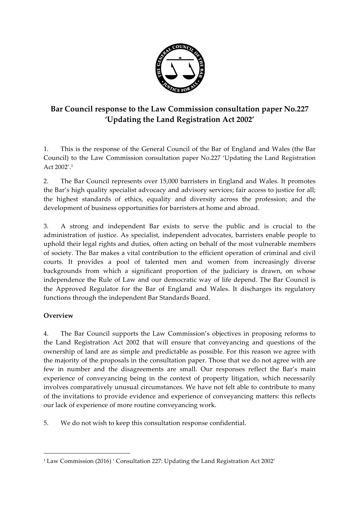

# **Bar Council response to the Law Commission consultation paper No.227 'Updating the Land Registration Act 2002'**

1. This is the response of the General Council of the Bar of England and Wales (the Bar Council) to the Law Commission consultation paper No.227 'Updating the Land Registration Act 2002'. 1

2. The Bar Council represents over 15,000 barristers in England and Wales. It promotes the Bar's high quality specialist advocacy and advisory services; fair access to justice for all; the highest standards of ethics, equality and diversity across the profession; and the development of business opportunities for barristers at home and abroad.

3. A strong and independent Bar exists to serve the public and is crucial to the administration of justice. As specialist, independent advocates, barristers enable people to uphold their legal rights and duties, often acting on behalf of the most vulnerable members of society. The Bar makes a vital contribution to the efficient operation of criminal and civil courts. It provides a pool of talented men and women from increasingly diverse backgrounds from which a significant proportion of the judiciary is drawn, on whose independence the Rule of Law and our democratic way of life depend. The Bar Council is the Approved Regulator for the Bar of England and Wales. It discharges its regulatory functions through the independent Bar Standards Board.

## **Overview**

 

4. The Bar Council supports the Law Commission's objectives in proposing reforms to the Land Registration Act 2002 that will ensure that conveyancing and questions of the ownership of land are as simple and predictable as possible. For this reason we agree with the majority of the proposals in the consultation paper. Those that we do not agree with are few in number and the disagreements are small. Our responses reflect the Bar's main experience of conveyancing being in the context of property litigation, which necessarily involves comparatively unusual circumstances. We have not felt able to contribute to many of the invitations to provide evidence and experience of conveyancing matters: this reflects our lack of experience of more routine conveyancing work.

5. We do not wish to keep this consultation response confidential.

<sup>1</sup> Law Commission (2016) ' Consultation 227: Updating the Land Registration Act 2002'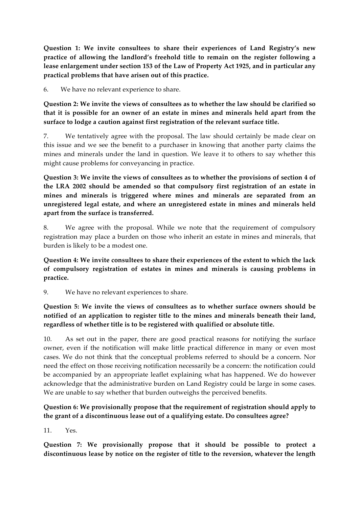**Question 1: We invite consultees to share their experiences of Land Registry's new practice of allowing the landlord's freehold title to remain on the register following a lease enlargement under section 153 of the Law of Property Act 1925, and in particular any practical problems that have arisen out of this practice.**

6. We have no relevant experience to share.

**Question 2: We invite the views of consultees as to whether the law should be clarified so that it is possible for an owner of an estate in mines and minerals held apart from the surface to lodge a caution against first registration of the relevant surface title.**

7. We tentatively agree with the proposal. The law should certainly be made clear on this issue and we see the benefit to a purchaser in knowing that another party claims the mines and minerals under the land in question. We leave it to others to say whether this might cause problems for conveyancing in practice.

**Question 3: We invite the views of consultees as to whether the provisions of section 4 of the LRA 2002 should be amended so that compulsory first registration of an estate in mines and minerals is triggered where mines and minerals are separated from an unregistered legal estate, and where an unregistered estate in mines and minerals held apart from the surface is transferred.**

8. We agree with the proposal. While we note that the requirement of compulsory registration may place a burden on those who inherit an estate in mines and minerals, that burden is likely to be a modest one.

**Question 4: We invite consultees to share their experiences of the extent to which the lack of compulsory registration of estates in mines and minerals is causing problems in practice.**

9. We have no relevant experiences to share.

**Question 5: We invite the views of consultees as to whether surface owners should be notified of an application to register title to the mines and minerals beneath their land, regardless of whether title is to be registered with qualified or absolute title.**

10. As set out in the paper, there are good practical reasons for notifying the surface owner, even if the notification will make little practical difference in many or even most cases. We do not think that the conceptual problems referred to should be a concern. Nor need the effect on those receiving notification necessarily be a concern: the notification could be accompanied by an appropriate leaflet explaining what has happened. We do however acknowledge that the administrative burden on Land Registry could be large in some cases. We are unable to say whether that burden outweighs the perceived benefits.

## **Question 6: We provisionally propose that the requirement of registration should apply to the grant of a discontinuous lease out of a qualifying estate. Do consultees agree?**

11. Yes.

**Question 7: We provisionally propose that it should be possible to protect a discontinuous lease by notice on the register of title to the reversion, whatever the length**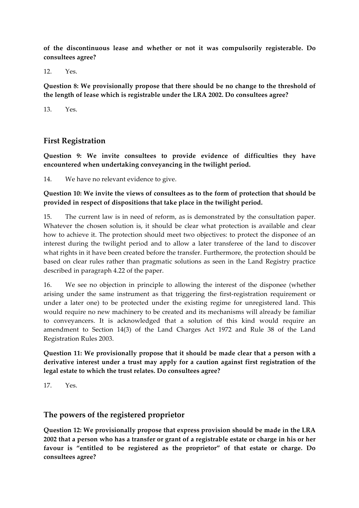**of the discontinuous lease and whether or not it was compulsorily registerable. Do consultees agree?**

 $12$  Yes

**Question 8: We provisionally propose that there should be no change to the threshold of the length of lease which is registrable under the LRA 2002. Do consultees agree?**

13. Yes.

## **First Registration**

**Question 9: We invite consultees to provide evidence of difficulties they have encountered when undertaking conveyancing in the twilight period.**

14. We have no relevant evidence to give.

**Question 10: We invite the views of consultees as to the form of protection that should be provided in respect of dispositions that take place in the twilight period.**

15. The current law is in need of reform, as is demonstrated by the consultation paper. Whatever the chosen solution is, it should be clear what protection is available and clear how to achieve it. The protection should meet two objectives: to protect the disponee of an interest during the twilight period and to allow a later transferee of the land to discover what rights in it have been created before the transfer. Furthermore, the protection should be based on clear rules rather than pragmatic solutions as seen in the Land Registry practice described in paragraph 4.22 of the paper.

16. We see no objection in principle to allowing the interest of the disponee (whether arising under the same instrument as that triggering the first-registration requirement or under a later one) to be protected under the existing regime for unregistered land. This would require no new machinery to be created and its mechanisms will already be familiar to conveyancers. It is acknowledged that a solution of this kind would require an amendment to Section 14(3) of the Land Charges Act 1972 and Rule 38 of the Land Registration Rules 2003.

**Question 11: We provisionally propose that it should be made clear that a person with a derivative interest under a trust may apply for a caution against first registration of the legal estate to which the trust relates. Do consultees agree?**

17. Yes.

## **The powers of the registered proprietor**

**Question 12: We provisionally propose that express provision should be made in the LRA 2002 that a person who has a transfer or grant of a registrable estate or charge in his or her favour is "entitled to be registered as the proprietor" of that estate or charge. Do consultees agree?**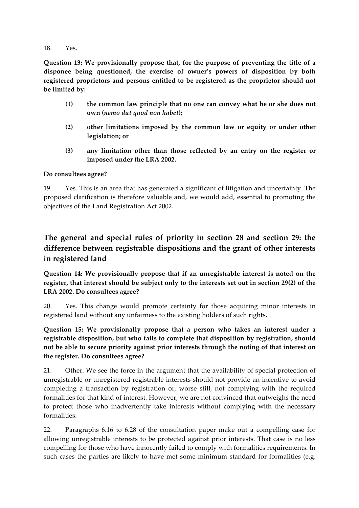18. Yes.

**Question 13: We provisionally propose that, for the purpose of preventing the title of a disponee being questioned, the exercise of owner's powers of disposition by both registered proprietors and persons entitled to be registered as the proprietor should not be limited by:**

- **(1) the common law principle that no one can convey what he or she does not own (***nemo dat quod non habet***);**
- **(2) other limitations imposed by the common law or equity or under other legislation; or**
- **(3) any limitation other than those reflected by an entry on the register or imposed under the LRA 2002.**

#### **Do consultees agree?**

19. Yes. This is an area that has generated a significant of litigation and uncertainty. The proposed clarification is therefore valuable and, we would add, essential to promoting the objectives of the Land Registration Act 2002.

# **The general and special rules of priority in section 28 and section 29: the difference between registrable dispositions and the grant of other interests in registered land**

**Question 14: We provisionally propose that if an unregistrable interest is noted on the register, that interest should be subject only to the interests set out in section 29(2) of the LRA 2002. Do consultees agree?**

20. Yes. This change would promote certainty for those acquiring minor interests in registered land without any unfairness to the existing holders of such rights.

**Question 15: We provisionally propose that a person who takes an interest under a registrable disposition, but who fails to complete that disposition by registration, should not be able to secure priority against prior interests through the noting of that interest on the register. Do consultees agree?**

21. Other. We see the force in the argument that the availability of special protection of unregistrable or unregistered registrable interests should not provide an incentive to avoid completing a transaction by registration or, worse still, not complying with the required formalities for that kind of interest. However, we are not convinced that outweighs the need to protect those who inadvertently take interests without complying with the necessary formalities.

22. Paragraphs 6.16 to 6.28 of the consultation paper make out a compelling case for allowing unregistrable interests to be protected against prior interests. That case is no less compelling for those who have innocently failed to comply with formalities requirements. In such cases the parties are likely to have met some minimum standard for formalities (e.g.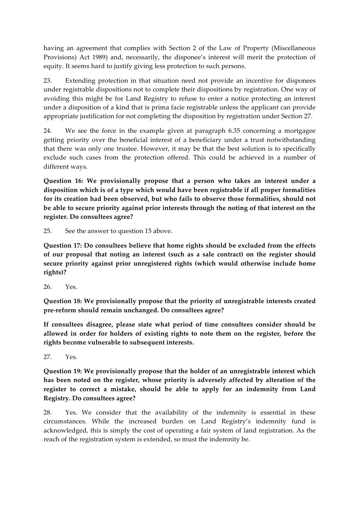having an agreement that complies with Section 2 of the Law of Property (Miscellaneous Provisions) Act 1989) and, necessarily, the disponee's interest will merit the protection of equity. It seems hard to justify giving less protection to such persons.

23. Extending protection in that situation need not provide an incentive for disponees under registrable dispositions not to complete their dispositions by registration. One way of avoiding this might be for Land Registry to refuse to enter a notice protecting an interest under a disposition of a kind that is prima facie registrable unless the applicant can provide appropriate justification for not completing the disposition by registration under Section 27.

24. We see the force in the example given at paragraph 6.35 concerning a mortgagee getting priority over the beneficial interest of a beneficiary under a trust notwithstanding that there was only one trustee. However, it may be that the best solution is to specifically exclude such cases from the protection offered. This could be achieved in a number of different ways.

**Question 16: We provisionally propose that a person who takes an interest under a disposition which is of a type which would have been registrable if all proper formalities for its creation had been observed, but who fails to observe those formalities, should not be able to secure priority against prior interests through the noting of that interest on the register. Do consultees agree?**

25. See the answer to question 15 above.

**Question 17: Do consultees believe that home rights should be excluded from the effects of our proposal that noting an interest (such as a sale contract) on the register should secure priority against prior unregistered rights (which would otherwise include home rights)?**

26. Yes.

**Question 18: We provisionally propose that the priority of unregistrable interests created pre-reform should remain unchanged. Do consultees agree?** 

**If consultees disagree, please state what period of time consultees consider should be allowed in order for holders of existing rights to note them on the register, before the rights become vulnerable to subsequent interests.**

27. Yes.

**Question 19: We provisionally propose that the holder of an unregistrable interest which has been noted on the register, whose priority is adversely affected by alteration of the register to correct a mistake, should be able to apply for an indemnity from Land Registry. Do consultees agree?**

28. Yes. We consider that the availability of the indemnity is essential in these circumstances. While the increased burden on Land Registry's indemnity fund is acknowledged, this is simply the cost of operating a fair system of land registration. As the reach of the registration system is extended, so must the indemnity be.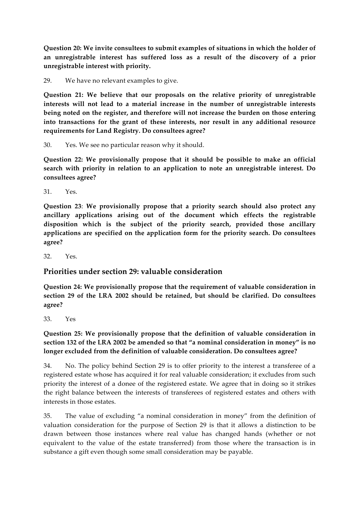**Question 20: We invite consultees to submit examples of situations in which the holder of an unregistrable interest has suffered loss as a result of the discovery of a prior unregistrable interest with priority.**

29. We have no relevant examples to give.

**Question 21: We believe that our proposals on the relative priority of unregistrable interests will not lead to a material increase in the number of unregistrable interests being noted on the register, and therefore will not increase the burden on those entering into transactions for the grant of these interests, nor result in any additional resource requirements for Land Registry. Do consultees agree?**

30. Yes. We see no particular reason why it should.

**Question 22: We provisionally propose that it should be possible to make an official search with priority in relation to an application to note an unregistrable interest. Do consultees agree?**

31. Yes.

**Question 23**: **We provisionally propose that a priority search should also protect any ancillary applications arising out of the document which effects the registrable disposition which is the subject of the priority search, provided those ancillary applications are specified on the application form for the priority search. Do consultees agree?**

32. Yes.

## **Priorities under section 29: valuable consideration**

**Question 24: We provisionally propose that the requirement of valuable consideration in section 29 of the LRA 2002 should be retained, but should be clarified. Do consultees agree?**

33. Yes

### **Question 25: We provisionally propose that the definition of valuable consideration in section 132 of the LRA 2002 be amended so that "a nominal consideration in money" is no longer excluded from the definition of valuable consideration. Do consultees agree?**

34. No. The policy behind Section 29 is to offer priority to the interest a transferee of a registered estate whose has acquired it for real valuable consideration; it excludes from such priority the interest of a donee of the registered estate. We agree that in doing so it strikes the right balance between the interests of transferees of registered estates and others with interests in those estates.

35. The value of excluding "a nominal consideration in money" from the definition of valuation consideration for the purpose of Section 29 is that it allows a distinction to be drawn between those instances where real value has changed hands (whether or not equivalent to the value of the estate transferred) from those where the transaction is in substance a gift even though some small consideration may be payable.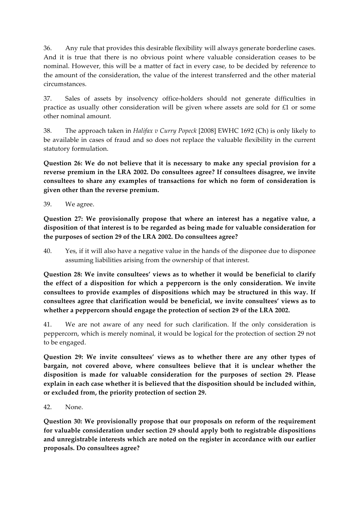36. Any rule that provides this desirable flexibility will always generate borderline cases. And it is true that there is no obvious point where valuable consideration ceases to be nominal. However, this will be a matter of fact in every case, to be decided by reference to the amount of the consideration, the value of the interest transferred and the other material circumstances.

37. Sales of assets by insolvency office-holders should not generate difficulties in practice as usually other consideration will be given where assets are sold for £1 or some other nominal amount.

38. The approach taken in *Halifax v Curry Popeck* [2008] EWHC 1692 (Ch) is only likely to be available in cases of fraud and so does not replace the valuable flexibility in the current statutory formulation.

**Question 26: We do not believe that it is necessary to make any special provision for a reverse premium in the LRA 2002. Do consultees agree? If consultees disagree, we invite consultees to share any examples of transactions for which no form of consideration is given other than the reverse premium.** 

39. We agree.

**Question 27: We provisionally propose that where an interest has a negative value, a disposition of that interest is to be regarded as being made for valuable consideration for the purposes of section 29 of the LRA 2002. Do consultees agree?**

40. Yes, if it will also have a negative value in the hands of the disponee due to disponee assuming liabilities arising from the ownership of that interest.

**Question 28: We invite consultees' views as to whether it would be beneficial to clarify the effect of a disposition for which a peppercorn is the only consideration. We invite consultees to provide examples of dispositions which may be structured in this way. If consultees agree that clarification would be beneficial, we invite consultees' views as to whether a peppercorn should engage the protection of section 29 of the LRA 2002.** 

41. We are not aware of any need for such clarification. If the only consideration is peppercorn, which is merely nominal, it would be logical for the protection of section 29 not to be engaged.

**Question 29: We invite consultees' views as to whether there are any other types of bargain, not covered above, where consultees believe that it is unclear whether the disposition is made for valuable consideration for the purposes of section 29. Please explain in each case whether it is believed that the disposition should be included within, or excluded from, the priority protection of section 29.**

#### 42. None.

**Question 30: We provisionally propose that our proposals on reform of the requirement for valuable consideration under section 29 should apply both to registrable dispositions and unregistrable interests which are noted on the register in accordance with our earlier proposals. Do consultees agree?**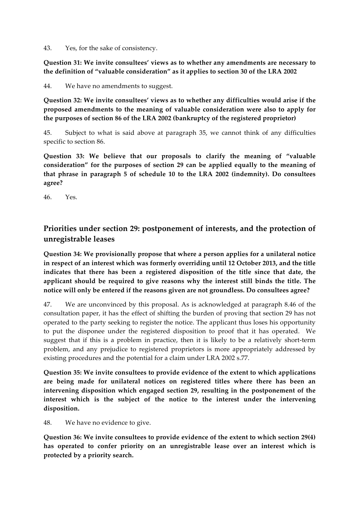43. Yes, for the sake of consistency.

**Question 31: We invite consultees' views as to whether any amendments are necessary to the definition of "valuable consideration" as it applies to section 30 of the LRA 2002**

44. We have no amendments to suggest.

**Question 32: We invite consultees' views as to whether any difficulties would arise if the proposed amendments to the meaning of valuable consideration were also to apply for the purposes of section 86 of the LRA 2002 (bankruptcy of the registered proprietor)**

45. Subject to what is said above at paragraph 35, we cannot think of any difficulties specific to section 86.

**Question 33: We believe that our proposals to clarify the meaning of "valuable consideration" for the purposes of section 29 can be applied equally to the meaning of that phrase in paragraph 5 of schedule 10 to the LRA 2002 (indemnity). Do consultees agree?**

46. Yes.

# **Priorities under section 29: postponement of interests, and the protection of unregistrable leases**

**Question 34: We provisionally propose that where a person applies for a unilateral notice in respect of an interest which was formerly overriding until 12 October 2013, and the title indicates that there has been a registered disposition of the title since that date, the applicant should be required to give reasons why the interest still binds the title. The notice will only be entered if the reasons given are not groundless. Do consultees agree?**

47. We are unconvinced by this proposal. As is acknowledged at paragraph 8.46 of the consultation paper, it has the effect of shifting the burden of proving that section 29 has not operated to the party seeking to register the notice. The applicant thus loses his opportunity to put the disponee under the registered disposition to proof that it has operated. We suggest that if this is a problem in practice, then it is likely to be a relatively short-term problem, and any prejudice to registered proprietors is more appropriately addressed by existing procedures and the potential for a claim under LRA 2002 s.77.

**Question 35: We invite consultees to provide evidence of the extent to which applications are being made for unilateral notices on registered titles where there has been an intervening disposition which engaged section 29, resulting in the postponement of the interest which is the subject of the notice to the interest under the intervening disposition.**

48. We have no evidence to give.

**Question 36: We invite consultees to provide evidence of the extent to which section 29(4) has operated to confer priority on an unregistrable lease over an interest which is protected by a priority search.**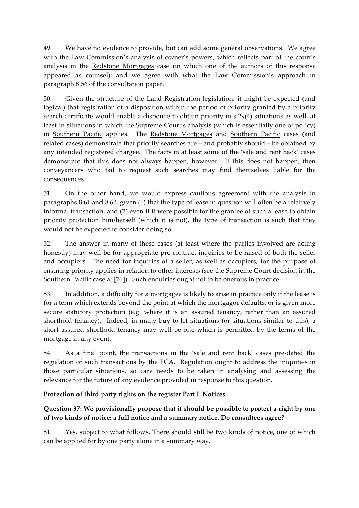49. We have no evidence to provide, but can add some general observations. We agree with the Law Commission's analysis of owner's powers, which reflects part of the court's analysis in the Redstone Mortgages case (in which one of the authors of this response appeared as counsel); and we agree with what the Law Commission's approach in paragraph 8.56 of the consultation paper.

50. Given the structure of the Land Registration legislation, it might be expected (and logical) that registration of a disposition within the period of priority granted by a priority search certificate would enable a disponee to obtain priority in s.29(4) situations as well, at least in situations in which the Supreme Court's analysis (which is essentially one of policy) in Southern Pacific applies. The Redstone Mortgages and Southern Pacific cases (and related cases) demonstrate that priority searches are – and probably should – be obtained by any intended registered chargee. The facts in at least some of the 'sale and rent back' cases demonstrate that this does not always happen, however. If this does not happen, then conveyancers who fail to request such searches may find themselves liable for the consequences.

51. On the other hand, we would express cautious agreement with the analysis in paragraphs 8.61 and 8.62, given (1) that the type of lease in question will often be a relatively informal transaction, and (2) even if it were possible for the grantee of such a lease to obtain priority protection him/herself (which it is not), the type of transaction is such that they would not be expected to consider doing so.

52. The answer in many of these cases (at least where the parties involved are acting honestly) may well be for appropriate pre-contract inquiries to be raised of both the seller and occupiers. The need for inquiries of a seller, as well as occupiers, for the purpose of ensuring priority applies in relation to other interests (see the Supreme Court decision in the Southern Pacific case at [76]). Such enquiries ought not to be onerous in practice.

53. In addition, a difficulty for a mortgagee is likely to arise in practice only if the lease is for a term which extends beyond the point at which the mortgagor defaults, or is given more secure statutory protection (e.g. where it is an assured tenancy, rather than an assured shorthold tenancy). Indeed, in many buy-to-let situations (or situations similar to this), a short assured shorthold tenancy may well be one which is permitted by the terms of the mortgage in any event.

54. As a final point, the transactions in the 'sale and rent back' cases pre-dated the regulation of such transactions by the FCA. Regulation ought to address the iniquities in those particular situations, so care needs to be taken in analysing and assessing the relevance for the future of any evidence provided in response to this question.

#### **Protection of third party rights on the register Part I: Notices**

## **Question 37: We provisionally propose that it should be possible to protect a right by one of two kinds of notice: a full notice and a summary notice. Do consultees agree?**

51. Yes, subject to what follows. There should still be two kinds of notice, one of which can be applied for by one party alone in a summary way.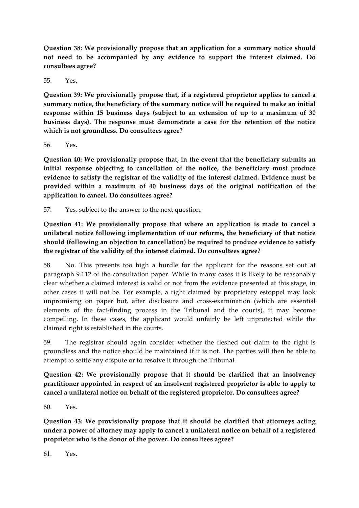**Question 38: We provisionally propose that an application for a summary notice should not need to be accompanied by any evidence to support the interest claimed. Do consultees agree?**

55. Yes.

**Question 39: We provisionally propose that, if a registered proprietor applies to cancel a summary notice, the beneficiary of the summary notice will be required to make an initial response within 15 business days (subject to an extension of up to a maximum of 30 business days). The response must demonstrate a case for the retention of the notice which is not groundless. Do consultees agree?**

56. Yes.

**Question 40: We provisionally propose that, in the event that the beneficiary submits an initial response objecting to cancellation of the notice, the beneficiary must produce evidence to satisfy the registrar of the validity of the interest claimed. Evidence must be provided within a maximum of 40 business days of the original notification of the application to cancel. Do consultees agree?**

57. Yes, subject to the answer to the next question.

**Question 41: We provisionally propose that where an application is made to cancel a unilateral notice following implementation of our reforms, the beneficiary of that notice should (following an objection to cancellation) be required to produce evidence to satisfy the registrar of the validity of the interest claimed. Do consultees agree?**

58. No. This presents too high a hurdle for the applicant for the reasons set out at paragraph 9.112 of the consultation paper. While in many cases it is likely to be reasonably clear whether a claimed interest is valid or not from the evidence presented at this stage, in other cases it will not be. For example, a right claimed by proprietary estoppel may look unpromising on paper but, after disclosure and cross-examination (which are essential elements of the fact-finding process in the Tribunal and the courts), it may become compelling. In these cases, the applicant would unfairly be left unprotected while the claimed right is established in the courts.

59. The registrar should again consider whether the fleshed out claim to the right is groundless and the notice should be maintained if it is not. The parties will then be able to attempt to settle any dispute or to resolve it through the Tribunal.

**Question 42: We provisionally propose that it should be clarified that an insolvency practitioner appointed in respect of an insolvent registered proprietor is able to apply to cancel a unilateral notice on behalf of the registered proprietor. Do consultees agree?**

60. Yes.

**Question 43: We provisionally propose that it should be clarified that attorneys acting under a power of attorney may apply to cancel a unilateral notice on behalf of a registered proprietor who is the donor of the power. Do consultees agree?**

 $61$  Yes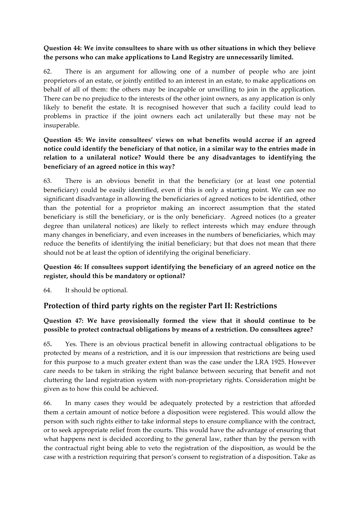### **Question 44: We invite consultees to share with us other situations in which they believe the persons who can make applications to Land Registry are unnecessarily limited.**

62. There is an argument for allowing one of a number of people who are joint proprietors of an estate, or jointly entitled to an interest in an estate, to make applications on behalf of all of them: the others may be incapable or unwilling to join in the application. There can be no prejudice to the interests of the other joint owners, as any application is only likely to benefit the estate. It is recognised however that such a facility could lead to problems in practice if the joint owners each act unilaterally but these may not be insuperable.

### **Question 45: We invite consultees' views on what benefits would accrue if an agreed notice could identify the beneficiary of that notice, in a similar way to the entries made in relation to a unilateral notice? Would there be any disadvantages to identifying the beneficiary of an agreed notice in this way?**

63. There is an obvious benefit in that the beneficiary (or at least one potential beneficiary) could be easily identified, even if this is only a starting point. We can see no significant disadvantage in allowing the beneficiaries of agreed notices to be identified, other than the potential for a proprietor making an incorrect assumption that the stated beneficiary is still the beneficiary, or is the only beneficiary. Agreed notices (to a greater degree than unilateral notices) are likely to reflect interests which may endure through many changes in beneficiary, and even increases in the numbers of beneficiaries, which may reduce the benefits of identifying the initial beneficiary; but that does not mean that there should not be at least the option of identifying the original beneficiary.

## **Question 46: If consultees support identifying the beneficiary of an agreed notice on the register, should this be mandatory or optional?**

64. It should be optional.

## **Protection of third party rights on the register Part II: Restrictions**

## **Question 47: We have provisionally formed the view that it should continue to be possible to protect contractual obligations by means of a restriction. Do consultees agree?**

65**.** Yes. There is an obvious practical benefit in allowing contractual obligations to be protected by means of a restriction, and it is our impression that restrictions are being used for this purpose to a much greater extent than was the case under the LRA 1925. However care needs to be taken in striking the right balance between securing that benefit and not cluttering the land registration system with non-proprietary rights. Consideration might be given as to how this could be achieved.

66. In many cases they would be adequately protected by a restriction that afforded them a certain amount of notice before a disposition were registered. This would allow the person with such rights either to take informal steps to ensure compliance with the contract, or to seek appropriate relief from the courts. This would have the advantage of ensuring that what happens next is decided according to the general law, rather than by the person with the contractual right being able to veto the registration of the disposition, as would be the case with a restriction requiring that person's consent to registration of a disposition. Take as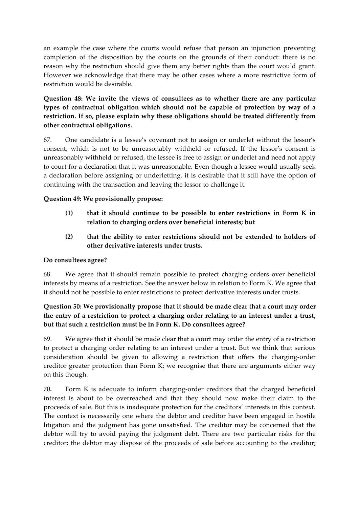an example the case where the courts would refuse that person an injunction preventing completion of the disposition by the courts on the grounds of their conduct: there is no reason why the restriction should give them any better rights than the court would grant. However we acknowledge that there may be other cases where a more restrictive form of restriction would be desirable.

### **Question 48: We invite the views of consultees as to whether there are any particular types of contractual obligation which should not be capable of protection by way of a restriction. If so, please explain why these obligations should be treated differently from other contractual obligations.**

67. One candidate is a lessee's covenant not to assign or underlet without the lessor's consent, which is not to be unreasonably withheld or refused. If the lessor's consent is unreasonably withheld or refused, the lessee is free to assign or underlet and need not apply to court for a declaration that it was unreasonable. Even though a lessee would usually seek a declaration before assigning or underletting, it is desirable that it still have the option of continuing with the transaction and leaving the lessor to challenge it.

#### **Question 49: We provisionally propose:**

- **(1) that it should continue to be possible to enter restrictions in Form K in relation to charging orders over beneficial interests; but**
- **(2) that the ability to enter restrictions should not be extended to holders of other derivative interests under trusts.**

#### **Do consultees agree?**

68. We agree that it should remain possible to protect charging orders over beneficial interests by means of a restriction. See the answer below in relation to Form K. We agree that it should not be possible to enter restrictions to protect derivative interests under trusts.

### **Question 50: We provisionally propose that it should be made clear that a court may order the entry of a restriction to protect a charging order relating to an interest under a trust, but that such a restriction must be in Form K. Do consultees agree?**

69. We agree that it should be made clear that a court may order the entry of a restriction to protect a charging order relating to an interest under a trust. But we think that serious consideration should be given to allowing a restriction that offers the charging-order creditor greater protection than Form K; we recognise that there are arguments either way on this though.

70**.** Form K is adequate to inform charging-order creditors that the charged beneficial interest is about to be overreached and that they should now make their claim to the proceeds of sale. But this is inadequate protection for the creditors' interests in this context. The context is necessarily one where the debtor and creditor have been engaged in hostile litigation and the judgment has gone unsatisfied. The creditor may be concerned that the debtor will try to avoid paying the judgment debt. There are two particular risks for the creditor: the debtor may dispose of the proceeds of sale before accounting to the creditor;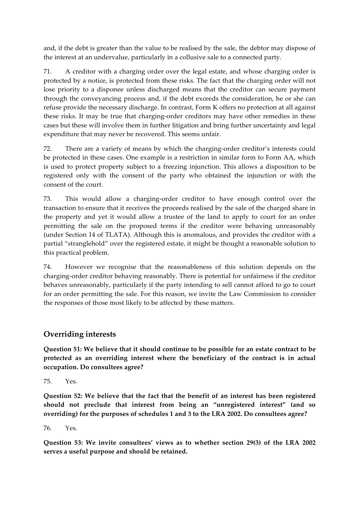and, if the debt is greater than the value to be realised by the sale, the debtor may dispose of the interest at an undervalue, particularly in a collusive sale to a connected party.

71. A creditor with a charging order over the legal estate, and whose charging order is protected by a notice, is protected from these risks. The fact that the charging order will not lose priority to a disponee unless discharged means that the creditor can secure payment through the conveyancing process and, if the debt exceeds the consideration, he or she can refuse provide the necessary discharge. In contrast, Form K offers no protection at all against these risks. It may be true that charging-order creditors may have other remedies in these cases but these will involve them in further litigation and bring further uncertainty and legal expenditure that may never be recovered. This seems unfair.

72. There are a variety of means by which the charging-order creditor's interests could be protected in these cases. One example is a restriction in similar form to Form AA, which is used to protect property subject to a freezing injunction. This allows a disposition to be registered only with the consent of the party who obtained the injunction or with the consent of the court.

73. This would allow a charging-order creditor to have enough control over the transaction to ensure that it receives the proceeds realised by the sale of the charged share in the property and yet it would allow a trustee of the land to apply to court for an order permitting the sale on the proposed terms if the creditor were behaving unreasonably (under Section 14 of TLATA). Although this is anomalous, and provides the creditor with a partial "stranglehold" over the registered estate, it might be thought a reasonable solution to this practical problem.

74. However we recognise that the reasonableness of this solution depends on the charging-order creditor behaving reasonably. There is potential for unfairness if the creditor behaves unreasonably, particularly if the party intending to sell cannot afford to go to court for an order permitting the sale. For this reason, we invite the Law Commission to consider the responses of those most likely to be affected by these matters.

## **Overriding interests**

**Question 51: We believe that it should continue to be possible for an estate contract to be protected as an overriding interest where the beneficiary of the contract is in actual occupation. Do consultees agree?**

75. Yes.

**Question 52: We believe that the fact that the benefit of an interest has been registered should not preclude that interest from being an "unregistered interest" (and so overriding) for the purposes of schedules 1 and 3 to the LRA 2002. Do consultees agree?**

76. Yes.

**Question 53: We invite consultees' views as to whether section 29(3) of the LRA 2002 serves a useful purpose and should be retained.**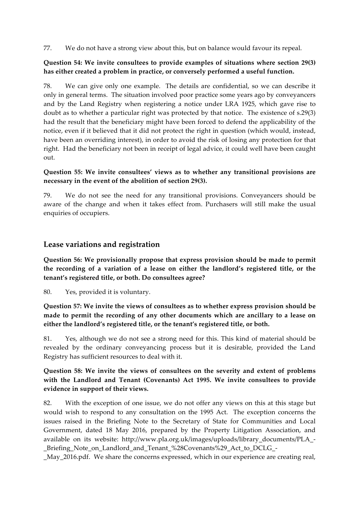77. We do not have a strong view about this, but on balance would favour its repeal.

#### **Question 54: We invite consultees to provide examples of situations where section 29(3) has either created a problem in practice, or conversely performed a useful function.**

78. We can give only one example. The details are confidential, so we can describe it only in general terms. The situation involved poor practice some years ago by conveyancers and by the Land Registry when registering a notice under LRA 1925, which gave rise to doubt as to whether a particular right was protected by that notice. The existence of s.29(3) had the result that the beneficiary might have been forced to defend the applicability of the notice, even if it believed that it did not protect the right in question (which would, instead, have been an overriding interest), in order to avoid the risk of losing any protection for that right. Had the beneficiary not been in receipt of legal advice, it could well have been caught out.

#### **Question 55: We invite consultees' views as to whether any transitional provisions are necessary in the event of the abolition of section 29(3).**

79. We do not see the need for any transitional provisions. Conveyancers should be aware of the change and when it takes effect from. Purchasers will still make the usual enquiries of occupiers.

## **Lease variations and registration**

**Question 56: We provisionally propose that express provision should be made to permit the recording of a variation of a lease on either the landlord's registered title, or the tenant's registered title, or both. Do consultees agree?**

80. Yes, provided it is voluntary.

**Question 57: We invite the views of consultees as to whether express provision should be made to permit the recording of any other documents which are ancillary to a lease on either the landlord's registered title, or the tenant's registered title, or both.**

81. Yes, although we do not see a strong need for this. This kind of material should be revealed by the ordinary conveyancing process but it is desirable, provided the Land Registry has sufficient resources to deal with it.

#### **Question 58: We invite the views of consultees on the severity and extent of problems with the Landlord and Tenant (Covenants) Act 1995. We invite consultees to provide evidence in support of their views.**

82. With the exception of one issue, we do not offer any views on this at this stage but would wish to respond to any consultation on the 1995 Act. The exception concerns the issues raised in the Briefing Note to the Secretary of State for Communities and Local Government, dated 18 May 2016, prepared by the Property Litigation Association, and available on its website: http://www.pla.org.uk/images/uploads/library\_documents/PLA\_- \_Briefing\_Note\_on\_Landlord\_and\_Tenant\_%28Covenants%29\_Act\_to\_DCLG\_-

\_May\_2016.pdf. We share the concerns expressed, which in our experience are creating real,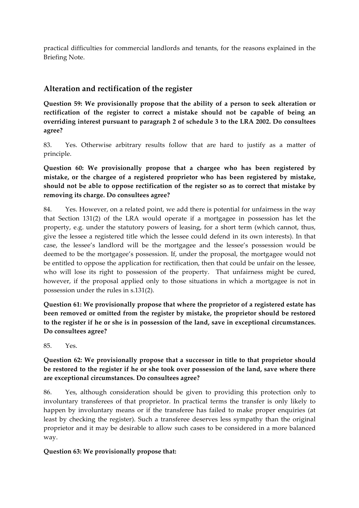practical difficulties for commercial landlords and tenants, for the reasons explained in the Briefing Note.

## **Alteration and rectification of the register**

**Question 59: We provisionally propose that the ability of a person to seek alteration or rectification of the register to correct a mistake should not be capable of being an overriding interest pursuant to paragraph 2 of schedule 3 to the LRA 2002. Do consultees agree?**

83. Yes. Otherwise arbitrary results follow that are hard to justify as a matter of principle.

**Question 60: We provisionally propose that a chargee who has been registered by mistake, or the chargee of a registered proprietor who has been registered by mistake, should not be able to oppose rectification of the register so as to correct that mistake by removing its charge. Do consultees agree?**

84. Yes. However, on a related point, we add there is potential for unfairness in the way that Section 131(2) of the LRA would operate if a mortgagee in possession has let the property, e.g. under the statutory powers of leasing, for a short term (which cannot, thus, give the lessee a registered title which the lessee could defend in its own interests). In that case, the lessee's landlord will be the mortgagee and the lessee's possession would be deemed to be the mortgagee's possession. If, under the proposal, the mortgagee would not be entitled to oppose the application for rectification, then that could be unfair on the lessee, who will lose its right to possession of the property. That unfairness might be cured, however, if the proposal applied only to those situations in which a mortgagee is not in possession under the rules in s.131(2).

**Question 61: We provisionally propose that where the proprietor of a registered estate has been removed or omitted from the register by mistake, the proprietor should be restored to the register if he or she is in possession of the land, save in exceptional circumstances. Do consultees agree?**

85. Yes.

### **Question 62: We provisionally propose that a successor in title to that proprietor should be restored to the register if he or she took over possession of the land, save where there are exceptional circumstances. Do consultees agree?**

86. Yes, although consideration should be given to providing this protection only to involuntary transferees of that proprietor. In practical terms the transfer is only likely to happen by involuntary means or if the transferee has failed to make proper enquiries (at least by checking the register). Such a transferee deserves less sympathy than the original proprietor and it may be desirable to allow such cases to be considered in a more balanced way.

#### **Question 63: We provisionally propose that:**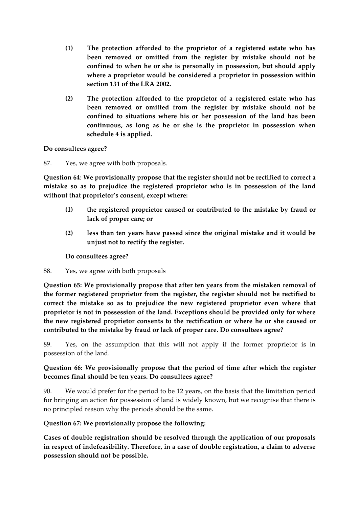- **(1) The protection afforded to the proprietor of a registered estate who has been removed or omitted from the register by mistake should not be confined to when he or she is personally in possession, but should apply where a proprietor would be considered a proprietor in possession within section 131 of the LRA 2002.**
- **(2) The protection afforded to the proprietor of a registered estate who has been removed or omitted from the register by mistake should not be confined to situations where his or her possession of the land has been continuous, as long as he or she is the proprietor in possession when schedule 4 is applied.**

**Do consultees agree?**

87. Yes, we agree with both proposals.

**Question 64**: **We provisionally propose that the register should not be rectified to correct a mistake so as to prejudice the registered proprietor who is in possession of the land without that proprietor's consent, except where:**

- **(1) the registered proprietor caused or contributed to the mistake by fraud or lack of proper care; or**
- **(2) less than ten years have passed since the original mistake and it would be unjust not to rectify the register.**

**Do consultees agree?**

88. Yes, we agree with both proposals

**Question 65: We provisionally propose that after ten years from the mistaken removal of the former registered proprietor from the register, the register should not be rectified to correct the mistake so as to prejudice the new registered proprietor even where that proprietor is not in possession of the land. Exceptions should be provided only for where the new registered proprietor consents to the rectification or where he or she caused or contributed to the mistake by fraud or lack of proper care. Do consultees agree?** 

89. Yes, on the assumption that this will not apply if the former proprietor is in possession of the land.

### **Question 66: We provisionally propose that the period of time after which the register becomes final should be ten years. Do consultees agree?**

90. We would prefer for the period to be 12 years, on the basis that the limitation period for bringing an action for possession of land is widely known, but we recognise that there is no principled reason why the periods should be the same.

**Question 67: We provisionally propose the following:**

**Cases of double registration should be resolved through the application of our proposals in respect of indefeasibility. Therefore, in a case of double registration, a claim to adverse possession should not be possible.**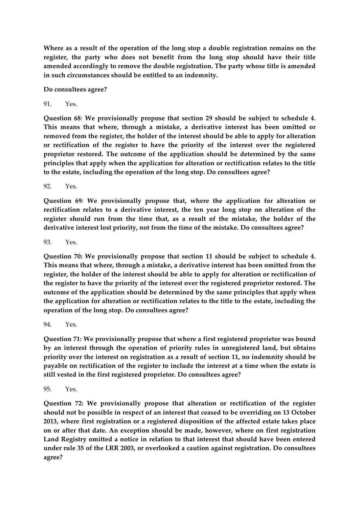**Where as a result of the operation of the long stop a double registration remains on the register, the party who does not benefit from the long stop should have their title amended accordingly to remove the double registration. The party whose title is amended in such circumstances should be entitled to an indemnity.**

**Do consultees agree?**

 $91$   $Y_{PS}$ 

**Question 68**: **We provisionally propose that section 29 should be subject to schedule 4. This means that where, through a mistake, a derivative interest has been omitted or removed from the register, the holder of the interest should be able to apply for alteration or rectification of the register to have the priority of the interest over the registered proprietor restored. The outcome of the application should be determined by the same principles that apply when the application for alteration or rectification relates to the title to the estate, including the operation of the long stop. Do consultees agree?**

92. Yes.

**Question 69**: **We provisionally propose that, where the application for alteration or rectification relates to a derivative interest, the ten year long stop on alteration of the register should run from the time that, as a result of the mistake, the holder of the derivative interest lost priority, not from the time of the mistake. Do consultees agree?**

93. Yes.

**Question 70: We provisionally propose that section 11 should be subject to schedule 4. This means that where, through a mistake, a derivative interest has been omitted from the register, the holder of the interest should be able to apply for alteration or rectification of the register to have the priority of the interest over the registered proprietor restored. The outcome of the application should be determined by the same principles that apply when the application for alteration or rectification relates to the title to the estate, including the operation of the long stop. Do consultees agree?**

94. Yes.

**Question 71: We provisionally propose that where a first registered proprietor was bound by an interest through the operation of priority rules in unregistered land, but obtains priority over the interest on registration as a result of section 11, no indemnity should be payable on rectification of the register to include the interest at a time when the estate is still vested in the first registered proprietor. Do consultees agree?**

95. Yes.

**Question 72: We provisionally propose that alteration or rectification of the register should not be possible in respect of an interest that ceased to be overriding on 13 October 2013, where first registration or a registered disposition of the affected estate takes place on or after that date. An exception should be made, however, where on first registration Land Registry omitted a notice in relation to that interest that should have been entered under rule 35 of the LRR 2003, or overlooked a caution against registration. Do consultees agree?**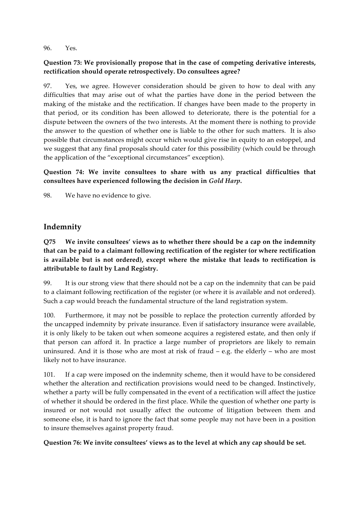96. Yes.

### **Question 73: We provisionally propose that in the case of competing derivative interests, rectification should operate retrospectively. Do consultees agree?**

97. Yes, we agree. However consideration should be given to how to deal with any difficulties that may arise out of what the parties have done in the period between the making of the mistake and the rectification. If changes have been made to the property in that period, or its condition has been allowed to deteriorate, there is the potential for a dispute between the owners of the two interests. At the moment there is nothing to provide the answer to the question of whether one is liable to the other for such matters. It is also possible that circumstances might occur which would give rise in equity to an estoppel, and we suggest that any final proposals should cater for this possibility (which could be through the application of the "exceptional circumstances" exception).

**Question 74: We invite consultees to share with us any practical difficulties that consultees have experienced following the decision in** *Gold Harp***.**

98. We have no evidence to give.

## **Indemnity**

**Q75 We invite consultees' views as to whether there should be a cap on the indemnity that can be paid to a claimant following rectification of the register (or where rectification is available but is not ordered), except where the mistake that leads to rectification is attributable to fault by Land Registry.**

99. It is our strong view that there should not be a cap on the indemnity that can be paid to a claimant following rectification of the register (or where it is available and not ordered). Such a cap would breach the fundamental structure of the land registration system.

100. Furthermore, it may not be possible to replace the protection currently afforded by the uncapped indemnity by private insurance. Even if satisfactory insurance were available, it is only likely to be taken out when someone acquires a registered estate, and then only if that person can afford it. In practice a large number of proprietors are likely to remain uninsured. And it is those who are most at risk of fraud – e.g. the elderly – who are most likely not to have insurance.

101. If a cap were imposed on the indemnity scheme, then it would have to be considered whether the alteration and rectification provisions would need to be changed. Instinctively, whether a party will be fully compensated in the event of a rectification will affect the justice of whether it should be ordered in the first place. While the question of whether one party is insured or not would not usually affect the outcome of litigation between them and someone else, it is hard to ignore the fact that some people may not have been in a position to insure themselves against property fraud.

**Question 76: We invite consultees' views as to the level at which any cap should be set.**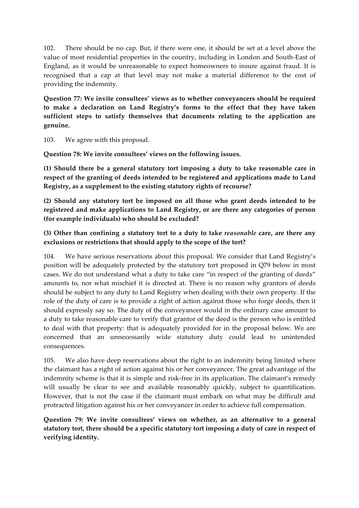102. There should be no cap. But, if there were one, it should be set at a level above the value of most residential properties in the country, including in London and South-East of England, as it would be unreasonable to expect homeowners to insure against fraud. It is recognised that a cap at that level may not make a material difference to the cost of providing the indemnity.

**Question 77: We invite consultees' views as to whether conveyancers should be required to make a declaration on Land Registry's forms to the effect that they have taken sufficient steps to satisfy themselves that documents relating to the application are genuine.**

103. We agree with this proposal.

**Question 78: We invite consultees' views on the following issues.**

**(1) Should there be a general statutory tort imposing a duty to take reasonable care in respect of the granting of deeds intended to be registered and applications made to Land Registry, as a supplement to the existing statutory rights of recourse?** 

**(2) Should any statutory tort be imposed on all those who grant deeds intended to be registered and make applications to Land Registry, or are there any categories of person (for example individuals) who should be excluded?**

**(3) Other than confining a statutory tort to a duty to take** *reasonable* **care, are there any exclusions or restrictions that should apply to the scope of the tort?**

104. We have serious reservations about this proposal. We consider that Land Registry's position will be adequately protected by the statutory tort proposed in Q79 below in most cases. We do not understand what a duty to take care "in respect of the granting of deeds" amounts to, nor what mischief it is directed at. There is no reason why grantors of deeds should be subject to any duty to Land Registry when dealing with their own property. If the role of the duty of care is to provide a right of action against those who forge deeds, then it should expressly say so. The duty of the conveyancer would in the ordinary case amount to a duty to take reasonable care to verify that grantor of the deed is the person who is entitled to deal with that property: that is adequately provided for in the proposal below. We are concerned that an unnecessarily wide statutory duty could lead to unintended consequences.

105. We also have deep reservations about the right to an indemnity being limited where the claimant has a right of action against his or her conveyancer. The great advantage of the indemnity scheme is that it is simple and risk-free in its application. The claimant's remedy will usually be clear to see and available reasonably quickly, subject to quantification. However, that is not the case if the claimant must embark on what may be difficult and protracted litigation against his or her conveyancer in order to achieve full compensation.

**Question 79: We invite consultees' views on whether, as an alternative to a general statutory tort, there should be a specific statutory tort imposing a duty of care in respect of verifying identity.**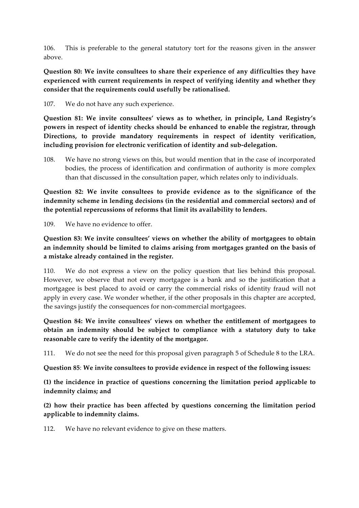106. This is preferable to the general statutory tort for the reasons given in the answer above.

**Question 80: We invite consultees to share their experience of any difficulties they have experienced with current requirements in respect of verifying identity and whether they consider that the requirements could usefully be rationalised.**

107. We do not have any such experience.

**Question 81: We invite consultees' views as to whether, in principle, Land Registry's powers in respect of identity checks should be enhanced to enable the registrar, through Directions, to provide mandatory requirements in respect of identity verification, including provision for electronic verification of identity and sub-delegation.**

108. We have no strong views on this, but would mention that in the case of incorporated bodies, the process of identification and confirmation of authority is more complex than that discussed in the consultation paper, which relates only to individuals.

**Question 82: We invite consultees to provide evidence as to the significance of the indemnity scheme in lending decisions (in the residential and commercial sectors) and of the potential repercussions of reforms that limit its availability to lenders.**

109. We have no evidence to offer.

**Question 83: We invite consultees' views on whether the ability of mortgagees to obtain an indemnity should be limited to claims arising from mortgages granted on the basis of a mistake already contained in the register.**

110. We do not express a view on the policy question that lies behind this proposal. However, we observe that not every mortgagee is a bank and so the justification that a mortgagee is best placed to avoid or carry the commercial risks of identity fraud will not apply in every case. We wonder whether, if the other proposals in this chapter are accepted, the savings justify the consequences for non-commercial mortgagees.

**Question 84: We invite consultees' views on whether the entitlement of mortgagees to obtain an indemnity should be subject to compliance with a statutory duty to take reasonable care to verify the identity of the mortgagor.**

111. We do not see the need for this proposal given paragraph 5 of Schedule 8 to the LRA.

**Question 85**: **We invite consultees to provide evidence in respect of the following issues:**

**(1) the incidence in practice of questions concerning the limitation period applicable to indemnity claims; and**

**(2) how their practice has been affected by questions concerning the limitation period applicable to indemnity claims.**

112. We have no relevant evidence to give on these matters.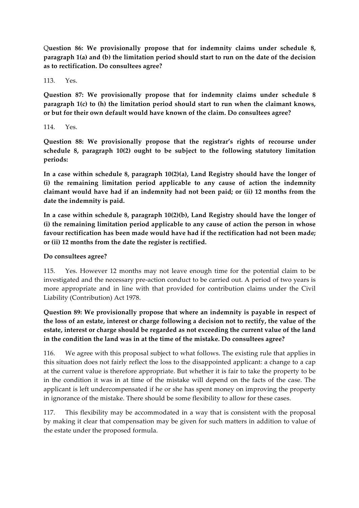Q**uestion 86: We provisionally propose that for indemnity claims under schedule 8, paragraph 1(a) and (b) the limitation period should start to run on the date of the decision as to rectification. Do consultees agree?**

113. Yes.

**Question 87: We provisionally propose that for indemnity claims under schedule 8 paragraph 1(c) to (h) the limitation period should start to run when the claimant knows, or but for their own default would have known of the claim. Do consultees agree?**

114. Yes.

**Question 88: We provisionally propose that the registrar's rights of recourse under schedule 8, paragraph 10(2) ought to be subject to the following statutory limitation periods:**

**In a case within schedule 8, paragraph 10(2)(a), Land Registry should have the longer of (i) the remaining limitation period applicable to any cause of action the indemnity claimant would have had if an indemnity had not been paid; or (ii) 12 months from the date the indemnity is paid.**

**In a case within schedule 8, paragraph 10(2)(b), Land Registry should have the longer of (i) the remaining limitation period applicable to any cause of action the person in whose favour rectification has been made would have had if the rectification had not been made; or (ii) 12 months from the date the register is rectified.**

#### **Do consultees agree?**

115. Yes. However 12 months may not leave enough time for the potential claim to be investigated and the necessary pre-action conduct to be carried out. A period of two years is more appropriate and in line with that provided for contribution claims under the Civil Liability (Contribution) Act 1978.

**Question 89: We provisionally propose that where an indemnity is payable in respect of the loss of an estate, interest or charge following a decision not to rectify, the value of the estate, interest or charge should be regarded as not exceeding the current value of the land in the condition the land was in at the time of the mistake. Do consultees agree?**

116. We agree with this proposal subject to what follows. The existing rule that applies in this situation does not fairly reflect the loss to the disappointed applicant: a change to a cap at the current value is therefore appropriate. But whether it is fair to take the property to be in the condition it was in at time of the mistake will depend on the facts of the case. The applicant is left undercompensated if he or she has spent money on improving the property in ignorance of the mistake. There should be some flexibility to allow for these cases.

117. This flexibility may be accommodated in a way that is consistent with the proposal by making it clear that compensation may be given for such matters in addition to value of the estate under the proposed formula.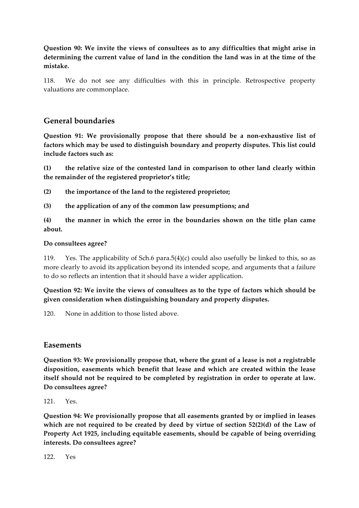**Question 90: We invite the views of consultees as to any difficulties that might arise in determining the current value of land in the condition the land was in at the time of the mistake.** 

118. We do not see any difficulties with this in principle. Retrospective property valuations are commonplace.

## **General boundaries**

**Question 91: We provisionally propose that there should be a non-exhaustive list of factors which may be used to distinguish boundary and property disputes. This list could include factors such as:**

**(1) the relative size of the contested land in comparison to other land clearly within the remainder of the registered proprietor's title;**

**(2) the importance of the land to the registered proprietor;** 

**(3) the application of any of the common law presumptions; and** 

**(4) the manner in which the error in the boundaries shown on the title plan came about.** 

#### **Do consultees agree?**

119. Yes. The applicability of Sch.6 para.5(4)(c) could also usefully be linked to this, so as more clearly to avoid its application beyond its intended scope, and arguments that a failure to do so reflects an intention that it should have a wider application.

**Question 92: We invite the views of consultees as to the type of factors which should be given consideration when distinguishing boundary and property disputes.**

120. None in addition to those listed above.

#### **Easements**

**Question 93: We provisionally propose that, where the grant of a lease is not a registrable disposition, easements which benefit that lease and which are created within the lease itself should not be required to be completed by registration in order to operate at law. Do consultees agree?**

 $121$ . Yes.

**Question 94: We provisionally propose that all easements granted by or implied in leases which are not required to be created by deed by virtue of section 52(2)(d) of the Law of Property Act 1925, including equitable easements, should be capable of being overriding interests. Do consultees agree?**

122. Yes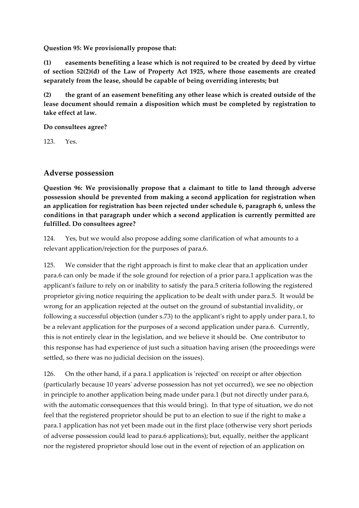#### **Question 95: We provisionally propose that:**

**(1) easements benefiting a lease which is not required to be created by deed by virtue of section 52(2)(d) of the Law of Property Act 1925, where those easements are created separately from the lease, should be capable of being overriding interests; but**

**(2) the grant of an easement benefiting any other lease which is created outside of the lease document should remain a disposition which must be completed by registration to take effect at law.** 

**Do consultees agree?**

123. Yes.

## **Adverse possession**

**Question 96: We provisionally propose that a claimant to title to land through adverse possession should be prevented from making a second application for registration when an application for registration has been rejected under schedule 6, paragraph 6, unless the conditions in that paragraph under which a second application is currently permitted are fulfilled. Do consultees agree?**

124. Yes, but we would also propose adding some clarification of what amounts to a relevant application/rejection for the purposes of para.6.

125. We consider that the right approach is first to make clear that an application under para.6 can only be made if the sole ground for rejection of a prior para.1 application was the applicant's failure to rely on or inability to satisfy the para.5 criteria following the registered proprietor giving notice requiring the application to be dealt with under para.5. It would be wrong for an application rejected at the outset on the ground of substantial invalidity, or following a successful objection (under s.73) to the applicant's right to apply under para.1, to be a relevant application for the purposes of a second application under para.6. Currently, this is not entirely clear in the legislation, and we believe it should be. One contributor to this response has had experience of just such a situation having arisen (the proceedings were settled, so there was no judicial decision on the issues).

126. On the other hand, if a para.1 application is 'rejected' on receipt or after objection (particularly because 10 years' adverse possession has not yet occurred), we see no objection in principle to another application being made under para.1 (but not directly under para.6, with the automatic consequences that this would bring). In that type of situation, we do not feel that the registered proprietor should be put to an election to sue if the right to make a para.1 application has not yet been made out in the first place (otherwise very short periods of adverse possession could lead to para.6 applications); but, equally, neither the applicant nor the registered proprietor should lose out in the event of rejection of an application on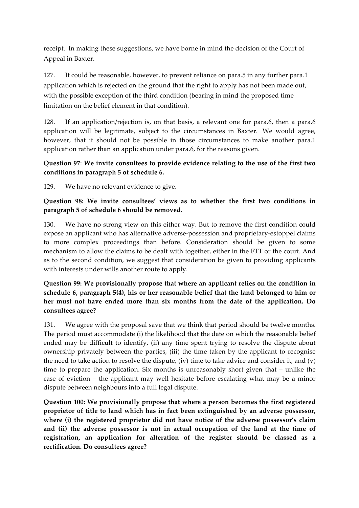receipt. In making these suggestions, we have borne in mind the decision of the Court of Appeal in Baxter.

127. It could be reasonable, however, to prevent reliance on para.5 in any further para.1 application which is rejected on the ground that the right to apply has not been made out, with the possible exception of the third condition (bearing in mind the proposed time limitation on the belief element in that condition).

128. If an application/rejection is, on that basis, a relevant one for para.6, then a para.6 application will be legitimate, subject to the circumstances in Baxter. We would agree, however, that it should not be possible in those circumstances to make another para.1 application rather than an application under para.6, for the reasons given.

### **Question 97**: **We invite consultees to provide evidence relating to the use of the first two conditions in paragraph 5 of schedule 6.**

129. We have no relevant evidence to give.

### **Question 98: We invite consultees' views as to whether the first two conditions in paragraph 5 of schedule 6 should be removed.**

130. We have no strong view on this either way. But to remove the first condition could expose an applicant who has alternative adverse-possession and proprietary-estoppel claims to more complex proceedings than before. Consideration should be given to some mechanism to allow the claims to be dealt with together, either in the FTT or the court. And as to the second condition, we suggest that consideration be given to providing applicants with interests under wills another route to apply.

### **Question 99: We provisionally propose that where an applicant relies on the condition in schedule 6, paragraph 5(4), his or her reasonable belief that the land belonged to him or her must not have ended more than six months from the date of the application. Do consultees agree?**

131. We agree with the proposal save that we think that period should be twelve months. The period must accommodate (i) the likelihood that the date on which the reasonable belief ended may be difficult to identify, (ii) any time spent trying to resolve the dispute about ownership privately between the parties, (iii) the time taken by the applicant to recognise the need to take action to resolve the dispute, (iv) time to take advice and consider it, and (v) time to prepare the application. Six months is unreasonably short given that – unlike the case of eviction – the applicant may well hesitate before escalating what may be a minor dispute between neighbours into a full legal dispute.

**Question 100: We provisionally propose that where a person becomes the first registered proprietor of title to land which has in fact been extinguished by an adverse possessor, where (i) the registered proprietor did not have notice of the adverse possessor's claim and (ii) the adverse possessor is not in actual occupation of the land at the time of registration, an application for alteration of the register should be classed as a rectification. Do consultees agree?**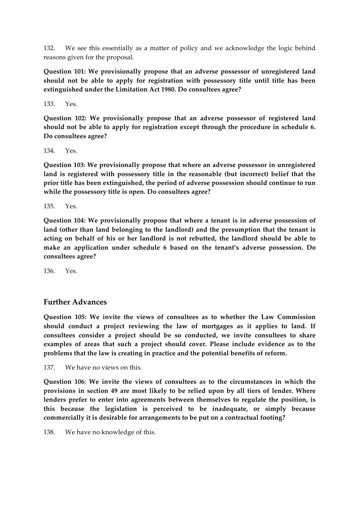132. We see this essentially as a matter of policy and we acknowledge the logic behind reasons given for the proposal.

**Question 101: We provisionally propose that an adverse possessor of unregistered land should not be able to apply for registration with possessory title until title has been extinguished under the Limitation Act 1980. Do consultees agree?**

133. Yes.

**Question 102: We provisionally propose that an adverse possessor of registered land should not be able to apply for registration except through the procedure in schedule 6. Do consultees agree?**

134. Yes.

**Question 103: We provisionally propose that where an adverse possessor in unregistered land is registered with possessory title in the reasonable (but incorrect) belief that the prior title has been extinguished, the period of adverse possession should continue to run while the possessory title is open. Do consultees agree?**

135. Yes.

**Question 104: We provisionally propose that where a tenant is in adverse possession of land (other than land belonging to the landlord) and the presumption that the tenant is acting on behalf of his or her landlord is not rebutted, the landlord should be able to make an application under schedule 6 based on the tenant's adverse possession. Do consultees agree?**

136. Yes.

## **Further Advances**

**Question 105: We invite the views of consultees as to whether the Law Commission should conduct a project reviewing the law of mortgages as it applies to land. If consultees consider a project should be so conducted, we invite consultees to share examples of areas that such a project should cover. Please include evidence as to the problems that the law is creating in practice and the potential benefits of reform.**

137. We have no views on this.

**Question 106**: **We invite the views of consultees as to the circumstances in which the provisions in section 49 are most likely to be relied upon by all tiers of lender. Where lenders prefer to enter into agreements between themselves to regulate the position, is this because the legislation is perceived to be inadequate, or simply because commercially it is desirable for arrangements to be put on a contractual footing?**

138. We have no knowledge of this.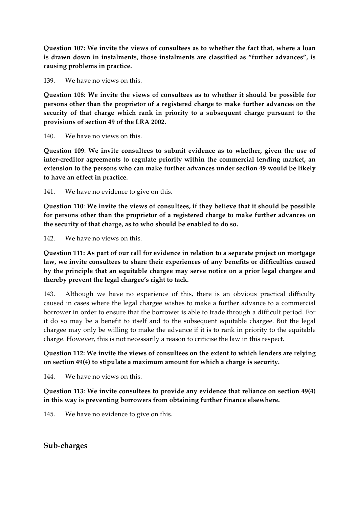**Question 107: We invite the views of consultees as to whether the fact that, where a loan is drawn down in instalments, those instalments are classified as "further advances", is causing problems in practice.**

139. We have no views on this.

**Question 108**: **We invite the views of consultees as to whether it should be possible for persons other than the proprietor of a registered charge to make further advances on the security of that charge which rank in priority to a subsequent charge pursuant to the provisions of section 49 of the LRA 2002.**

140. We have no views on this.

**Question 109**: **We invite consultees to submit evidence as to whether, given the use of inter-creditor agreements to regulate priority within the commercial lending market, an extension to the persons who can make further advances under section 49 would be likely to have an effect in practice.**

141. We have no evidence to give on this.

**Question 110**: **We invite the views of consultees, if they believe that it should be possible for persons other than the proprietor of a registered charge to make further advances on the security of that charge, as to who should be enabled to do so.**

142. We have no views on this.

**Question 111: As part of our call for evidence in relation to a separate project on mortgage law, we invite consultees to share their experiences of any benefits or difficulties caused by the principle that an equitable chargee may serve notice on a prior legal chargee and thereby prevent the legal chargee's right to tack.**

143. Although we have no experience of this, there is an obvious practical difficulty caused in cases where the legal chargee wishes to make a further advance to a commercial borrower in order to ensure that the borrower is able to trade through a difficult period. For it do so may be a benefit to itself and to the subsequent equitable chargee. But the legal chargee may only be willing to make the advance if it is to rank in priority to the equitable charge. However, this is not necessarily a reason to criticise the law in this respect.

#### **Question 112: We invite the views of consultees on the extent to which lenders are relying on section 49(4) to stipulate a maximum amount for which a charge is security.**

144. We have no views on this.

**Question 113**: **We invite consultees to provide any evidence that reliance on section 49(4) in this way is preventing borrowers from obtaining further finance elsewhere.**

145. We have no evidence to give on this.

#### **Sub-charges**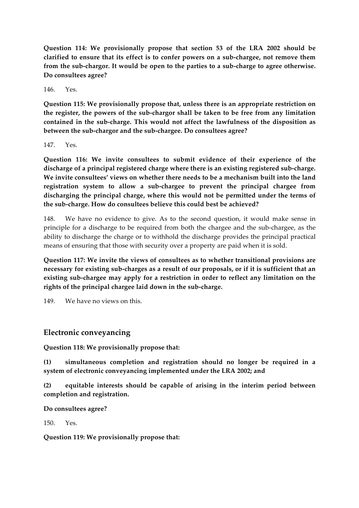**Question 114: We provisionally propose that section 53 of the LRA 2002 should be clarified to ensure that its effect is to confer powers on a sub-chargee, not remove them from the sub-chargor. It would be open to the parties to a sub-charge to agree otherwise. Do consultees agree?**

146. Yes.

**Question 115: We provisionally propose that, unless there is an appropriate restriction on the register, the powers of the sub-chargor shall be taken to be free from any limitation contained in the sub-charge. This would not affect the lawfulness of the disposition as between the sub-chargor and the sub-chargee. Do consultees agree?**

147. Yes.

**Question 116: We invite consultees to submit evidence of their experience of the discharge of a principal registered charge where there is an existing registered sub-charge. We invite consultees' views on whether there needs to be a mechanism built into the land registration system to allow a sub-chargee to prevent the principal chargee from discharging the principal charge, where this would not be permitted under the terms of the sub-charge. How do consultees believe this could best be achieved?**

148. We have no evidence to give. As to the second question, it would make sense in principle for a discharge to be required from both the chargee and the sub-chargee, as the ability to discharge the charge or to withhold the discharge provides the principal practical means of ensuring that those with security over a property are paid when it is sold.

**Question 117: We invite the views of consultees as to whether transitional provisions are necessary for existing sub-charges as a result of our proposals, or if it is sufficient that an existing sub-chargee may apply for a restriction in order to reflect any limitation on the rights of the principal chargee laid down in the sub-charge.**

149. We have no views on this.

## **Electronic conveyancing**

**Question 118: We provisionally propose that:**

**(1) simultaneous completion and registration should no longer be required in a system of electronic conveyancing implemented under the LRA 2002; and**

**(2) equitable interests should be capable of arising in the interim period between completion and registration.**

**Do consultees agree?**

150. Yes.

**Question 119: We provisionally propose that:**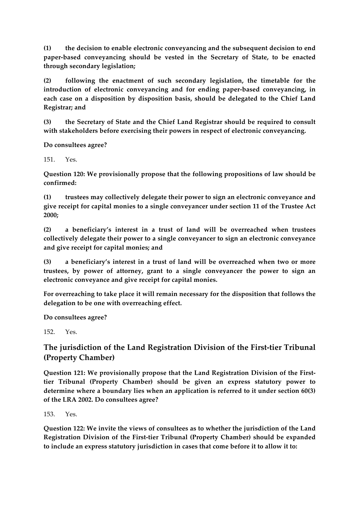**(1) the decision to enable electronic conveyancing and the subsequent decision to end paper-based conveyancing should be vested in the Secretary of State, to be enacted through secondary legislation;**

**(2) following the enactment of such secondary legislation, the timetable for the introduction of electronic conveyancing and for ending paper-based conveyancing, in each case on a disposition by disposition basis, should be delegated to the Chief Land Registrar; and**

**(3) the Secretary of State and the Chief Land Registrar should be required to consult with stakeholders before exercising their powers in respect of electronic conveyancing.**

**Do consultees agree?**

151. Yes.

**Question 120: We provisionally propose that the following propositions of law should be confirmed:**

**(1) trustees may collectively delegate their power to sign an electronic conveyance and give receipt for capital monies to a single conveyancer under section 11 of the Trustee Act 2000;** 

**(2) a beneficiary's interest in a trust of land will be overreached when trustees collectively delegate their power to a single conveyancer to sign an electronic conveyance and give receipt for capital monies; and**

**(3) a beneficiary's interest in a trust of land will be overreached when two or more trustees, by power of attorney, grant to a single conveyancer the power to sign an electronic conveyance and give receipt for capital monies.**

**For overreaching to take place it will remain necessary for the disposition that follows the delegation to be one with overreaching effect.**

**Do consultees agree?**

152. Yes.

# **The jurisdiction of the Land Registration Division of the First-tier Tribunal (Property Chamber)**

**Question 121: We provisionally propose that the Land Registration Division of the Firsttier Tribunal (Property Chamber) should be given an express statutory power to determine where a boundary lies when an application is referred to it under section 60(3) of the LRA 2002. Do consultees agree?**

 $153$   $Y_{\text{PS}}$ 

**Question 122: We invite the views of consultees as to whether the jurisdiction of the Land Registration Division of the First-tier Tribunal (Property Chamber) should be expanded to include an express statutory jurisdiction in cases that come before it to allow it to:**